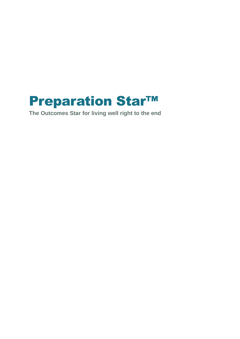# **Preparation Star™**

**The Outcomes Star for living well right to the end**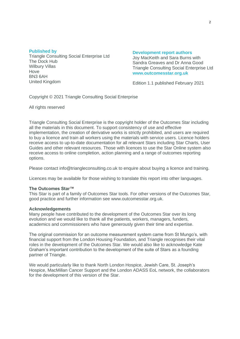#### **Published by**

Triangle Consulting Social Enterprise Ltd The Dock Hub Wilbury Villas Hove BN3 6AH United Kingdom

#### **Development report authors**

Joy MacKeith and Sara Burns with Sandra Greaves and Dr Anna Good Triangle Consulting Social Enterprise Ltd **www.outcomesstar.org.uk**

Edition 1.1 published February 2021

Copyright © 2021 Triangle Consulting Social Enterprise

All rights reserved

Triangle Consulting Social Enterprise is the copyright holder of the Outcomes Star including all the materials in this document. To support consistency of use and effective implementation, the creation of derivative works is strictly prohibited, and users are required to buy a licence and train all workers using the materials with service users. Licence holders receive access to up-to-date documentation for all relevant Stars including Star Charts, User Guides and other relevant resources. Those with licences to use the Star Online system also receive access to online completion, action planning and a range of outcomes reporting options.

Please contact info@triangleconsulting.co.uk to enquire about buying a licence and training.

Licences may be available for those wishing to translate this report into other languages.

#### **The Outcomes Star™**

This Star is part of a family of Outcomes Star tools. For other versions of the Outcomes Star, good practice and further information see www.outcomesstar.org.uk.

#### **Acknowledgements**

Many people have contributed to the development of the Outcomes Star over its long evolution and we would like to thank all the patients, workers, managers, funders, academics and commissioners who have generously given their time and expertise.

The original commission for an outcome measurement system came from St Mungo's, with financial support from the London Housing Foundation, and Triangle recognises their vital roles in the development of the Outcomes Star. We would also like to acknowledge Kate Graham's important contribution to the development of the suite of Stars as a founding partner of Triangle.

We would particularly like to thank North London Hospice, Jewish Care, St. Joseph's Hospice, MacMillan Cancer Support and the London ADASS EoL network, the collaborators for the development of this version of the Star.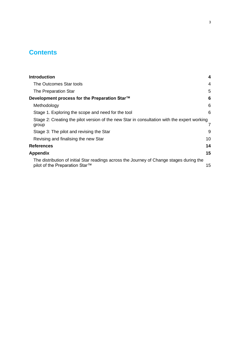# **Contents**

| <b>Introduction</b>                                                                                                        | 4  |
|----------------------------------------------------------------------------------------------------------------------------|----|
| The Outcomes Star tools                                                                                                    | 4  |
| The Preparation Star                                                                                                       | 5  |
| Development process for the Preparation Star™                                                                              | 6  |
| Methodology                                                                                                                | 6  |
| Stage 1. Exploring the scope and need for the tool                                                                         | 6  |
| Stage 2: Creating the pilot version of the new Star in consultation with the expert working<br>group                       |    |
| Stage 3: The pilot and revising the Star                                                                                   | 9  |
| Revising and finalising the new Star                                                                                       | 10 |
| <b>References</b>                                                                                                          | 14 |
| <b>Appendix</b>                                                                                                            | 15 |
| The distribution of initial Star readings across the Journey of Change stages during the<br>pilot of the Preparation Star™ | 15 |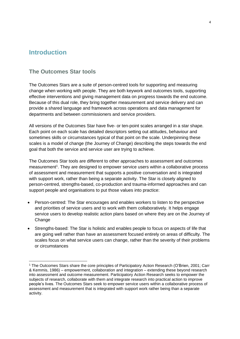## <span id="page-3-0"></span>**Introduction**

## <span id="page-3-1"></span>**The Outcomes Star tools**

The Outcomes Stars are a suite of person-centred tools for supporting and measuring change when working with people. They are both keywork and outcomes tools, supporting effective interventions and giving management data on progress towards the end outcome. Because of this dual role, they bring together measurement and service delivery and can provide a shared language and framework across operations and data management for departments and between commissioners and service providers.

All versions of the Outcomes Star have five- or ten-point scales arranged in a star shape. Each point on each scale has detailed descriptors setting out attitudes, behaviour and sometimes skills or circumstances typical of that point on the scale. Underpinning these scales is a model of change (the Journey of Change) describing the steps towards the end goal that both the service and service user are trying to achieve.

The Outcomes Star tools are different to other approaches to assessment and outcomes measurement<sup>1</sup>. They are designed to empower service users within a collaborative process of assessment and measurement that supports a positive conversation and is integrated with support work, rather than being a separate activity. The Star is closely aligned to person-centred, strengths-based, co-production and trauma-informed approaches and can support people and organisations to put those values into practice:

- Person-centred: The Star encourages and enables workers to listen to the perspective and priorities of service users and to work with them collaboratively. It helps engage service users to develop realistic action plans based on where they are on the Journey of Change
- Strengths-based: The Star is holistic and enables people to focus on aspects of life that are going well rather than have an assessment focused entirely on areas of difficulty. The scales focus on what service users can change, rather than the severity of their problems or circumstances

<sup>1</sup> The Outcomes Stars share the core principles of Participatory Action Research (O'Brien, 2001; Carr & Kemmis, 1986) – empowerment, collaboration and integration – extending these beyond research into assessment and outcome measurement. Participatory Action Research seeks to empower the subjects of research, collaborate with them and integrate research into practical action to improve people's lives. The Outcomes Stars seek to empower service users within a collaborative process of assessment and measurement that is integrated with support work rather being than a separate activity.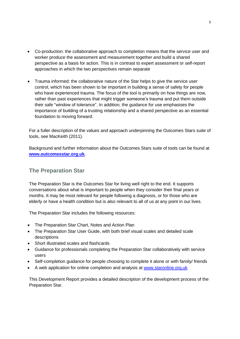- Co-production: the collaborative approach to completion means that the service user and worker produce the assessment and measurement together and build a shared perspective as a basis for action. This is in contrast to expert assessment or self-report approaches in which the two perspectives remain separate
- Trauma informed: the collaborative nature of the Star helps to give the service user control, which has been shown to be important in building a sense of safety for people who have experienced trauma. The focus of the tool is primarily on how things are now, rather than past experiences that might trigger someone's trauma and put them outside their safe "window of tolerance". In addition, the guidance for use emphasises the importance of building of a trusting relationship and a shared perspective as an essential foundation to moving forward.

For a fuller description of the values and approach underpinning the Outcomes Stars suite of tools, see MacKeith (2011).

Background and further information about the Outcomes Stars suite of tools can be found at **[www.outcomesstar.org.uk](http://www.outcomesstar.org.uk/)**.

## <span id="page-4-0"></span>**The Preparation Star**

The Preparation Star is the Outcomes Star for living well right to the end. It supports conversations about what is important to people when they consider their final years or months. It may be most relevant for people following a diagnosis, or for those who are elderly or have a health condition but is also relevant to all of us at any point in our lives.

The Preparation Star includes the following resources:

- The Preparation Star Chart, Notes and Action Plan
- The Preparation Star User Guide, with both brief visual scales and detailed scale descriptions
- Short illustrated scales and flashcards
- Guidance for professionals completing the Preparation Star collaboratively with service users
- Self-completion guidance for people choosing to complete it alone or with family/ friends
- A web application for online completion and analysis at [www.staronline.org.uk](http://www.staronline.org.uk/)

This Development Report provides a detailed description of the development process of the Preparation Star.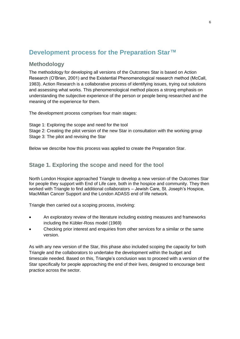## <span id="page-5-0"></span>**Development process for the Preparation Star™**

## <span id="page-5-1"></span>**Methodology**

The methodology for developing all versions of the Outcomes Star is based on Action Research (O'Brien, 2001) and the Existential Phenomenological research method (McCall, 1983). Action Research is a collaborative process of identifying issues, trying out solutions and assessing what works. This phenomenological method places a strong emphasis on understanding the subjective experience of the person or people being researched and the meaning of the experience for them.

The development process comprises four main stages:

Stage 1: Exploring the scope and need for the tool Stage 2: Creating the pilot version of the new Star in consultation with the working group Stage 3: The pilot and revising the Star

Below we describe how this process was applied to create the Preparation Star.

## <span id="page-5-2"></span>**Stage 1. Exploring the scope and need for the tool**

North London Hospice approached Triangle to develop a new version of the Outcomes Star for people they support with End of Life care, both in the hospice and community. They then worked with Triangle to find additional collaborators – Jewish Care, St. Joseph's Hospice, MacMillan Cancer Support and the London ADASS end of life network.

Triangle then carried out a scoping process, involving:

- An exploratory review of the literature including existing measures and frameworks including the Kübler-Ross model (1969)
- Checking prior interest and enquiries from other services for a similar or the same version.

As with any new version of the Star, this phase also included scoping the capacity for both Triangle and the collaborators to undertake the development within the budget and timescale needed. Based on this, Triangle's conclusion was to proceed with a version of the Star specifically for people approaching the end of their lives, designed to encourage best practice across the sector.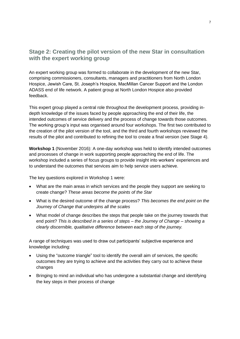## <span id="page-6-0"></span>**Stage 2: Creating the pilot version of the new Star in consultation with the expert working group**

An expert working group was formed to collaborate in the development of the new Star, comprising commissioners, consultants, managers and practitioners from North London Hospice, Jewish Care, St. Joseph's Hospice, MacMillan Cancer Support and the London ADASS end of life network. A patient group at North London Hospice also provided feedback.

This expert group played a central role throughout the development process, providing indepth knowledge of the issues faced by people approaching the end of their life, the intended outcomes of service delivery and the process of change towards those outcomes. The working group's input was organised around four workshops. The first two contributed to the creation of the pilot version of the tool, and the third and fourth workshops reviewed the results of the pilot and contributed to refining the tool to create a final version (see Stage 4).

**Workshop 1** (November 2016): A one-day workshop was held to identify intended outcomes and processes of change in work supporting people approaching the end of life. The workshop included a series of focus groups to provide insight into workers' experiences and to understand the outcomes that services aim to help service users achieve.

The key questions explored in Workshop 1 were:

- What are the main areas in which services and the people they support are seeking to create change? *These areas become the points of the Star*
- What is the desired outcome of the change process? *This becomes the end point on the Journey of Change that underpins all the scales*
- What model of change describes the steps that people take on the journey towards that end point? *This is described in a series of steps – the Journey of Change – showing a clearly discernible, qualitative difference between each step of the journey.*

A range of techniques was used to draw out participants' subjective experience and knowledge including:

- Using the "outcome triangle" tool to identify the overall aim of services, the specific outcomes they are trying to achieve and the activities they carry out to achieve these changes
- Bringing to mind an individual who has undergone a substantial change and identifying the key steps in their process of change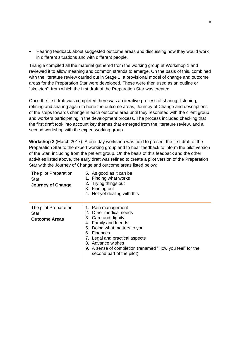• Hearing feedback about suggested outcome areas and discussing how they would work in different situations and with different people.

Triangle compiled all the material gathered from the working group at Workshop 1 and reviewed it to allow meaning and common strands to emerge. On the basis of this, combined with the literature review carried out in Stage 1, a provisional model of change and outcome areas for the Preparation Star were developed. These were then used as an outline or "skeleton", from which the first draft of the Preparation Star was created.

Once the first draft was completed there was an iterative process of sharing, listening, refining and sharing again to hone the outcome areas, Journey of Change and descriptions of the steps towards change in each outcome area until they resonated with the client group and workers participating in the development process. The process included checking that the first draft took into account key themes that emerged from the literature review, and a second workshop with the expert working group.

**Workshop 2** (March 2017): A one-day workshop was held to present the first draft of the Preparation Star to the expert working group and to hear feedback to inform the pilot version of the Star, including from the patient group. On the basis of this feedback and the other activities listed above, the early draft was refined to create a pilot version of the Preparation Star with the Journey of Change and outcome areas listed below:

| The pilot Preparation<br>Star<br>Journey of Change    | 5. As good as it can be<br>1. Finding what works<br>2. Trying things out<br>3. Finding out<br>4. Not yet dealing with this                                                                                                                                                                     |
|-------------------------------------------------------|------------------------------------------------------------------------------------------------------------------------------------------------------------------------------------------------------------------------------------------------------------------------------------------------|
| The pilot Preparation<br>Star<br><b>Outcome Areas</b> | 1. Pain management<br>2. Other medical needs<br>3. Care and dignity<br>4. Family and friends<br>Doing what matters to you<br>5.<br>6. Finances<br>7. Legal and practical aspects<br>8. Advance wishes<br>9. A sense of completion (renamed "How you feel" for the<br>second part of the pilot) |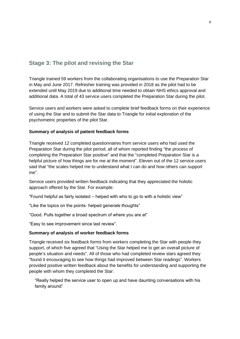## <span id="page-8-0"></span>**Stage 3: The pilot and revising the Star**

Triangle trained 59 workers from the collaborating organisations to use the Preparation Star in May and June 2017. Refresher training was provided in 2018 as the pilot had to be extended until May 2019 due to additional time needed to obtain NHS ethics approval and additional data. A total of 43 service users completed the Preparation Star during the pilot.

Service users and workers were asked to complete brief feedback forms on their experience of using the Star and to submit the Star data to Triangle for initial exploration of the psychometric properties of the pilot Star.

#### **Summary of analysis of patient feedback forms**

Triangle received 12 completed questionnaires from service users who had used the Preparation Star during the pilot period, all of whom reported finding "the process of completing the Preparation Star positive" and that the "completed Preparation Star is a helpful picture of how things are for me at the moment". Eleven out of the 12 service users said that "the scales helped me to understand what I can do and how others can support me".

Service users provided written feedback indicating that they appreciated the holistic approach offered by the Star. For example:

"Found helpful as fairly isolated – helped with who to go to with a holistic view"

"Like the topics on the points- helped generate thoughts"

"Good. Pulls together a broad spectrum of where you are at"

"Easy to see improvement since last review".

#### **Summary of analysis of worker feedback forms**

Triangle received six feedback forms from workers completing the Star with people they support, of which five agreed that "Using the Star helped me to get an overall picture of people's situation and needs". All of those who had completed review stars agreed they "found it encouraging to see how things had improved between Star readings". Workers provided positive written feedback about the benefits for understanding and supporting the people with whom they completed the Star:

"Really helped the service user to open up and have daunting conversations with his family around"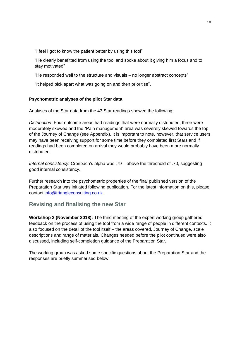"I feel I got to know the patient better by using this tool"

"He clearly benefitted from using the tool and spoke about it giving him a focus and to stay motivated"

"He responded well to the structure and visuals – no longer abstract concepts"

"It helped pick apart what was going on and then prioritise".

#### **Psychometric analyses of the pilot Star data**

Analyses of the Star data from the 43 Star readings showed the following:

*Distribution:* Four outcome areas had readings that were normally distributed, three were moderately skewed and the "Pain management" area was severely skewed towards the top of the Journey of Change (see Appendix). It is important to note, however, that service users may have been receiving support for some time before they completed first Stars and if readings had been completed on arrival they would probably have been more normally distributed.

*Internal consistency:* Cronbach's alpha was .79 – above the threshold of .70, suggesting good internal consistency.

Further research into the psychometric properties of the final published version of the Preparation Star was initiated following publication. For the latest information on this, please contact [info@triangleconsulting.co.uk](mailto:info@triangleconsulting.co.uk)**.**

## <span id="page-9-0"></span>**Revising and finalising the new Star**

**Workshop 3 (November 2018):** The third meeting of the expert working group gathered feedback on the process of using the tool from a wide range of people in different contexts. It also focused on the detail of the tool itself – the areas covered, Journey of Change, scale descriptions and range of materials. Changes needed before the pilot continued were also discussed, including self-completion guidance of the Preparation Star.

The working group was asked some specific questions about the Preparation Star and the responses are briefly summarised below.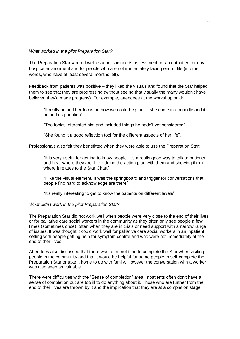#### *What worked in the pilot Preparation Star?*

The Preparation Star worked well as a holistic needs assessment for an outpatient or day hospice environment and for people who are not immediately facing end of life (in other words, who have at least several months left).

Feedback from patients was positive – they liked the visuals and found that the Star helped them to see that they are progressing (without seeing that visually the many wouldn't have believed they'd made progress). For example, attendees at the workshop said:

"It really helped her focus on how we could help her – she came in a muddle and it helped us prioritise"

"The topics interested him and included things he hadn't yet considered"

"She found it a good reflection tool for the different aspects of her life".

Professionals also felt they benefitted when they were able to use the Preparation Star:

"It is very useful for getting to know people. It's a really good way to talk to patients and hear where they are. I like doing the action plan with them and showing them where it relates to the Star Chart"

"I like the visual element. It was the springboard and trigger for conversations that people find hard to acknowledge are there"

"It's really interesting to get to know the patients on different levels".

#### *What didn't work in the pilot Preparation Star?*

The Preparation Star did not work well when people were very close to the end of their lives or for palliative care social workers in the community as they often only see people a few times (sometimes once), often when they are in crisis or need support with a narrow range of issues. It was thought it could work well for palliative care social workers in an inpatient setting with people getting help for symptom control and who were not immediately at the end of their lives.

Attendees also discussed that there was often not time to complete the Star when visiting people in the community and that it would be helpful for some people to self-complete the Preparation Star or take it home to do with family. However the conversation with a worker was also seen as valuable.

There were difficulties with the "Sense of completion" area. Inpatients often don't have a sense of completion but are too ill to do anything about it. Those who are further from the end of their lives are thrown by it and the implication that they are at a completion stage.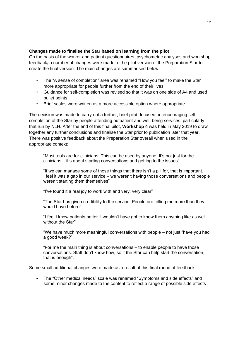### **Changes made to finalise the Star based on learning from the pilot**

On the basis of the worker and patient questionnaires, psychometric analyses and workshop feedback**,** a number of changes were made to the pilot version of the Preparation Star to create the final version. The main changes are summarised below:

- The "A sense of completion" area was renamed "How you feel" to make the Star more appropriate for people further from the end of their lives
- Guidance for self-completion was revised so that it was on one side of A4 and used bullet points
- Brief scales were written as a more accessible option where appropriate.

The decision was made to carry out a further, brief pilot, focused on encouraging selfcompletion of the Star by people attending outpatient and well-being services, particularly that run by NLH. After the end of this final pilot, **Workshop 4** was held in May 2019 to draw together any further conclusions and finalise the Star prior to publication later that year. There was positive feedback about the Preparation Star overall when used in the appropriate context:

"Most tools are for clinicians. This can be used by anyone. It's not just for the clinicians – it's about starting conversations and getting to the issues"

"If we can manage some of those things that there isn't a pill for, that is important. I feel it was a gap in our service – we weren't having those conversations and people weren't starting them themselves"

"I've found it a real joy to work with and very, very clear"

"The Star has given credibility to the service. People are telling me more than they would have before"

"I feel I know patients better. I wouldn't have got to know them anything like as well without the Star"

"We have much more meaningful conversations with people – not just "have you had a good week?"

"For me the main thing is about conversations – to enable people to have those conversations. Staff don't know how, so if the Star can help start the conversation, that is enough".

Some small additional changes were made as a result of this final round of feedback:

• The "Other medical needs" scale was renamed "Symptoms and side effects" and some minor changes made to the content to reflect a range of possible side effects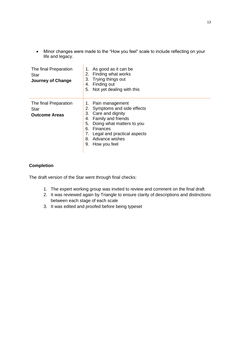• Minor changes were made to the "How you feel" scale to include reflecting on your life and legacy.

| The final Preparation<br>Star<br>Journey of Change    | As good as it can be<br>Finding what works<br>2.<br>Trying things out<br>З.<br>Finding out<br>4.<br>Not yet dealing with this<br>5.                                                                                                           |
|-------------------------------------------------------|-----------------------------------------------------------------------------------------------------------------------------------------------------------------------------------------------------------------------------------------------|
| The final Preparation<br>Star<br><b>Outcome Areas</b> | 1. Pain management<br>Symptoms and side effects<br>2.<br>Care and dignity<br>З.<br>Family and friends<br>4.<br>Doing what matters to you<br>5.<br>Finances<br>6.<br>Legal and practical aspects<br>Advance wishes<br>8.<br>How you feel<br>9. |

## **Completion**

The draft version of the Star went through final checks:

- 1. The expert working group was invited to review and comment on the final draft
- 2. It was reviewed again by Triangle to ensure clarity of descriptions and distinctions between each stage of each scale
- 3. It was edited and proofed before being typeset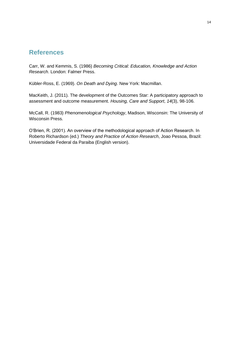## <span id="page-13-0"></span>**References**

Carr, W. and Kemmis, S. (1986) *Becoming Critical: Education, Knowledge and Action Research*. London: Falmer Press.

Kübler-Ross, E. (1969). *On Death and Dying*. New York: Macmillan.

MacKeith, J. (2011). The development of the Outcomes Star: A participatory approach to assessment and outcome measurement. *Housing, Care and Support*, *14*(3), 98-106.

McCall, R. (1983) *Phenomenological Psychology*, Madison, Wisconsin: The University of Wisconsin Press.

O'Brien, R. (2001). An overview of the methodological approach of Action Research. In Roberto Richardson (ed.) *Theory and Practice of Action Research*, Joao Pessoa, Brazil: Universidade Federal da Paraiba (English version).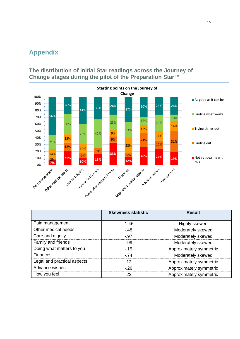## <span id="page-14-0"></span>**Appendix**

<span id="page-14-1"></span>**The distribution of initial Star readings across the Journey of Change stages during the pilot of the Preparation Star™**



|                             | <b>Skewness statistic</b> | <b>Result</b>           |
|-----------------------------|---------------------------|-------------------------|
| Pain management             | $-1.46$                   | Highly skewed           |
| Other medical needs         | $-48$                     | Moderately skewed       |
| Care and dignity            | $-0.97$                   | Moderately skewed       |
| Family and friends          | $-0.99$                   | Moderately skewed       |
| Doing what matters to you   | $-15$                     | Approximately symmetric |
| <b>Finances</b>             | $-.74$                    | Moderately skewed       |
| Legal and practical aspects | .12                       | Approximately symmetric |
| Advance wishes              | $-26$                     | Approximately symmetric |
| How you feel                | .22                       | Approximately symmetric |